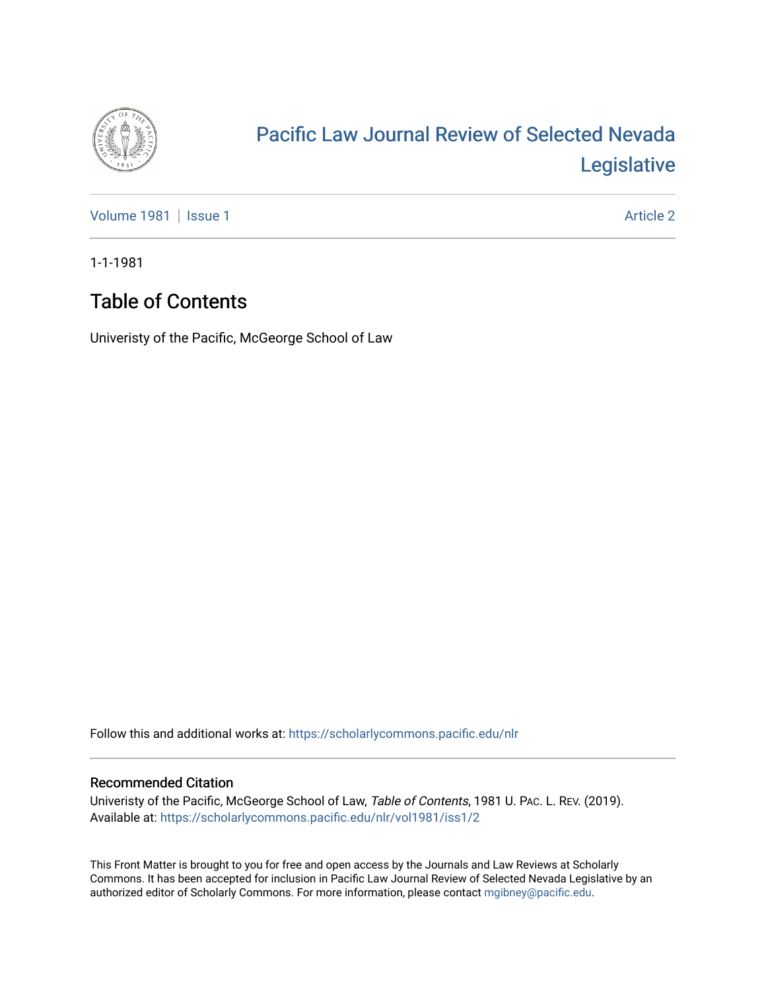

# [Pacific Law Journal Review of Selected Nevada](https://scholarlycommons.pacific.edu/nlr)  [Legislative](https://scholarlycommons.pacific.edu/nlr)

[Volume 1981](https://scholarlycommons.pacific.edu/nlr/vol1981) | [Issue 1](https://scholarlycommons.pacific.edu/nlr/vol1981/iss1) Article 2

1-1-1981

## Table of Contents

Univeristy of the Pacific, McGeorge School of Law

Follow this and additional works at: [https://scholarlycommons.pacific.edu/nlr](https://scholarlycommons.pacific.edu/nlr?utm_source=scholarlycommons.pacific.edu%2Fnlr%2Fvol1981%2Fiss1%2F2&utm_medium=PDF&utm_campaign=PDFCoverPages) 

#### Recommended Citation

Univeristy of the Pacific, McGeorge School of Law, Table of Contents, 1981 U. PAC. L. REV. (2019). Available at: [https://scholarlycommons.pacific.edu/nlr/vol1981/iss1/2](https://scholarlycommons.pacific.edu/nlr/vol1981/iss1/2?utm_source=scholarlycommons.pacific.edu%2Fnlr%2Fvol1981%2Fiss1%2F2&utm_medium=PDF&utm_campaign=PDFCoverPages) 

This Front Matter is brought to you for free and open access by the Journals and Law Reviews at Scholarly Commons. It has been accepted for inclusion in Pacific Law Journal Review of Selected Nevada Legislative by an authorized editor of Scholarly Commons. For more information, please contact [mgibney@pacific.edu](mailto:mgibney@pacific.edu).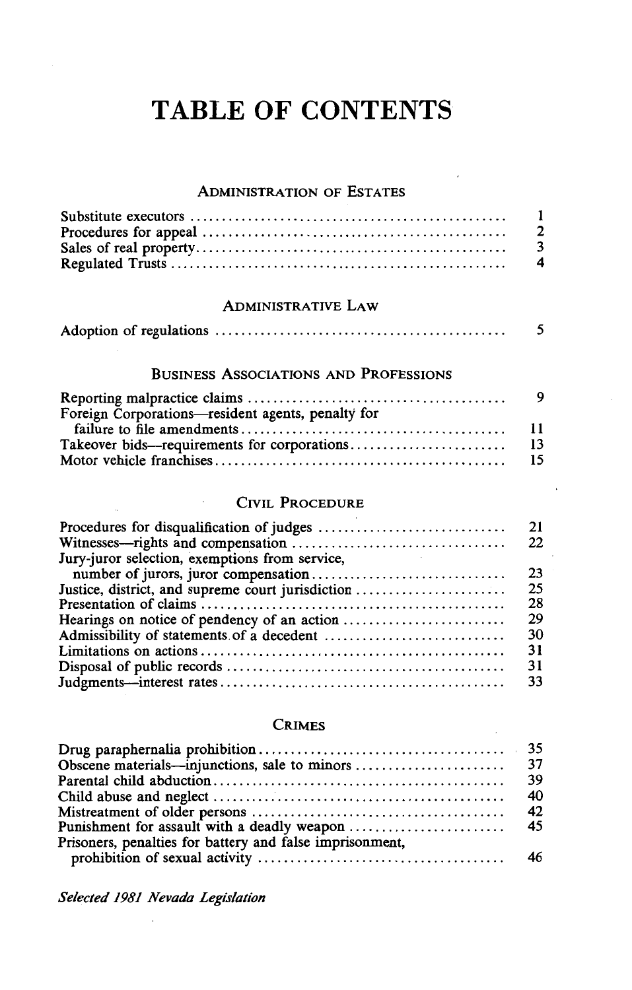## **TABLE OF CONTENTS**

#### ADMINISTRATION OF ESTATES

| $\mathbf{1}$            |
|-------------------------|
| 2                       |
| 3                       |
| $\overline{\mathbf{4}}$ |

#### ADMINISTRATIVE LAW

|--|--|--|--|--|--|

### BUSINESS ASSOCIATIONS AND PROFESSIONS

| Foreign Corporations-resident agents, penalty for |  |
|---------------------------------------------------|--|
|                                                   |  |
|                                                   |  |
|                                                   |  |

#### CIVIL PROCEDURE

|                                                   | 21 |
|---------------------------------------------------|----|
|                                                   | 22 |
| Jury-juror selection, exemptions from service,    |    |
|                                                   | 23 |
| Justice, district, and supreme court jurisdiction | 25 |
|                                                   | 28 |
|                                                   | 29 |
|                                                   | 30 |
|                                                   | 31 |
|                                                   | 31 |
|                                                   | 33 |

#### CRIMES

|                                                          | 40 |
|----------------------------------------------------------|----|
|                                                          |    |
|                                                          |    |
| Prisoners, penalties for battery and false imprisonment, |    |
|                                                          |    |

*Selected 1981 Nevada Legislation*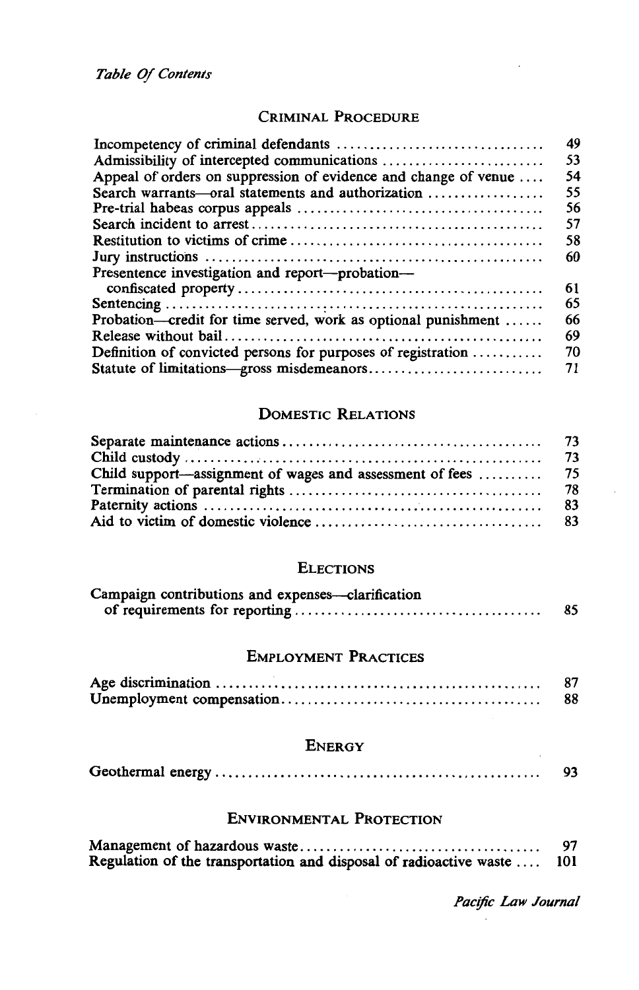## CRIMINAL PROCEDURE

|                                                                 | 49 |
|-----------------------------------------------------------------|----|
|                                                                 | 53 |
| Appeal of orders on suppression of evidence and change of venue | 54 |
| Search warrants-oral statements and authorization               | 55 |
|                                                                 | 56 |
|                                                                 | 57 |
|                                                                 | 58 |
|                                                                 | 60 |
| Presentence investigation and report-probation-                 |    |
|                                                                 | 61 |
|                                                                 | 65 |
| Probation—credit for time served, work as optional punishment   | 66 |
|                                                                 | 69 |
| Definition of convicted persons for purposes of registration    | 70 |
|                                                                 | 71 |
|                                                                 |    |

## DOMESTIC RELATIONS

#### **ELECTIONS**

| Campaign contributions and expenses—clarification |    |
|---------------------------------------------------|----|
|                                                   | 85 |

## EMPLOYMENT PRACTICES

| 88 |
|----|

## **ENERGY**

|--|--|--|

#### ENVIRONMENTAL PROTECTION

|                                                                    | 97  |
|--------------------------------------------------------------------|-----|
| Regulation of the transportation and disposal of radioactive waste | 101 |

*Pac!fic Law Journal*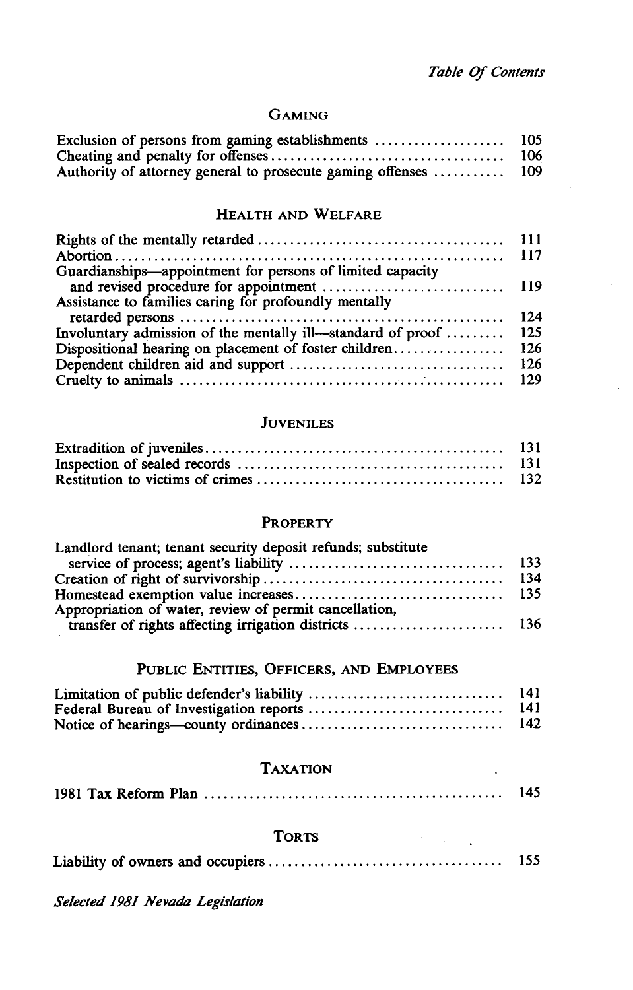#### GAMING

| Exclusion of persons from gaming establishments            | 105   |
|------------------------------------------------------------|-------|
|                                                            | 106   |
| Authority of attorney general to prosecute gaming offenses | - 109 |

#### HEALTH AND WELFARE

| Guardianships-appointment for persons of limited capacity   |            |
|-------------------------------------------------------------|------------|
|                                                             |            |
| Assistance to families caring for profoundly mentally       |            |
|                                                             | -124       |
| Involuntary admission of the mentally ill-standard of proof | 125        |
| Dispositional hearing on placement of foster children       | 126        |
|                                                             | <b>126</b> |
|                                                             |            |

#### **JUVENILES**

### PROPERTY

| Landlord tenant; tenant security deposit refunds; substitute |  |
|--------------------------------------------------------------|--|
|                                                              |  |
|                                                              |  |
|                                                              |  |
| Appropriation of water, review of permit cancellation,       |  |
|                                                              |  |

## PUBLIC ENTITIES, OFFICERS, AND EMPLOYEES

| -141 |
|------|
| -141 |
| 142  |

#### TAXATION

|  |  |  | 145 |
|--|--|--|-----|
|--|--|--|-----|

#### **TORTS**

|  |  | 155 |
|--|--|-----|
|--|--|-----|

*Selected 1981 Nevada Legislation*